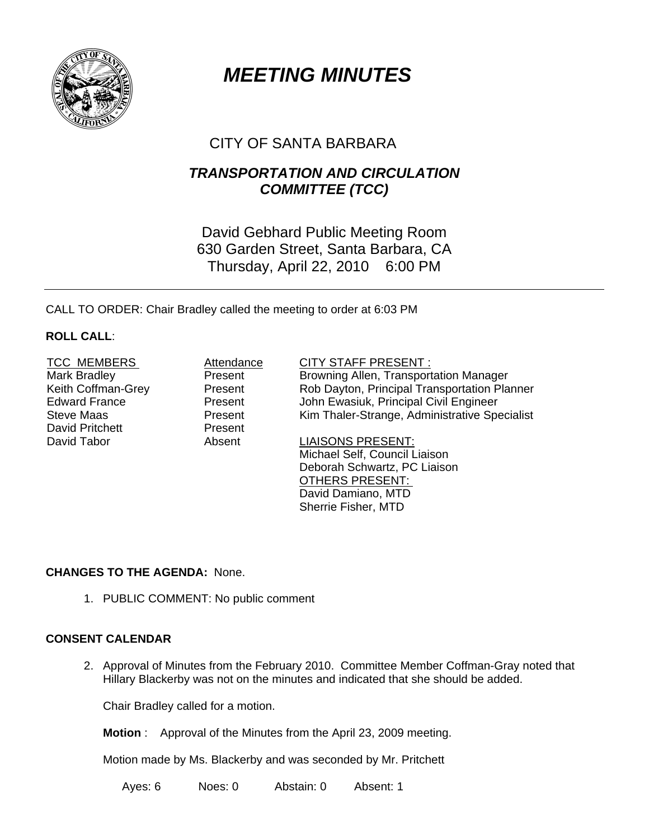

# *MEETING MINUTES*

# CITY OF SANTA BARBARA

# *TRANSPORTATION AND CIRCULATION COMMITTEE (TCC)*

David Gebhard Public Meeting Room 630 Garden Street, Santa Barbara, CA Thursday, April 22, 2010 6:00 PM

CALL TO ORDER: Chair Bradley called the meeting to order at 6:03 PM

## **ROLL CALL**:

David Pritchett Present

#### TCC MEMBERS Attendance CITY STAFF PRESENT :

Mark Bradley **Present** Browning Allen, Transportation Manager Keith Coffman-Grey **Resent** Rob Dayton, Principal Transportation Planner<br>
Rob Dayton, Principal Transportation Planner<br>
Lohn Ewasiuk, Principal Civil Engineer Present John Ewasiuk, Principal Civil Engineer Steve Maas **Present** Kim Thaler-Strange, Administrative Specialist

David Tabor **Absent** Absent LIAISONS PRESENT: Michael Self, Council Liaison Deborah Schwartz, PC Liaison OTHERS PRESENT: David Damiano, MTD Sherrie Fisher, MTD

# **CHANGES TO THE AGENDA:** None.

1. PUBLIC COMMENT: No public comment

# **CONSENT CALENDAR**

2. Approval of Minutes from the February 2010. Committee Member Coffman-Gray noted that Hillary Blackerby was not on the minutes and indicated that she should be added.

Chair Bradley called for a motion.

**Motion** : Approval of the Minutes from the April 23, 2009 meeting.

Motion made by Ms. Blackerby and was seconded by Mr. Pritchett

Ayes: 6 Noes: 0 Abstain: 0 Absent: 1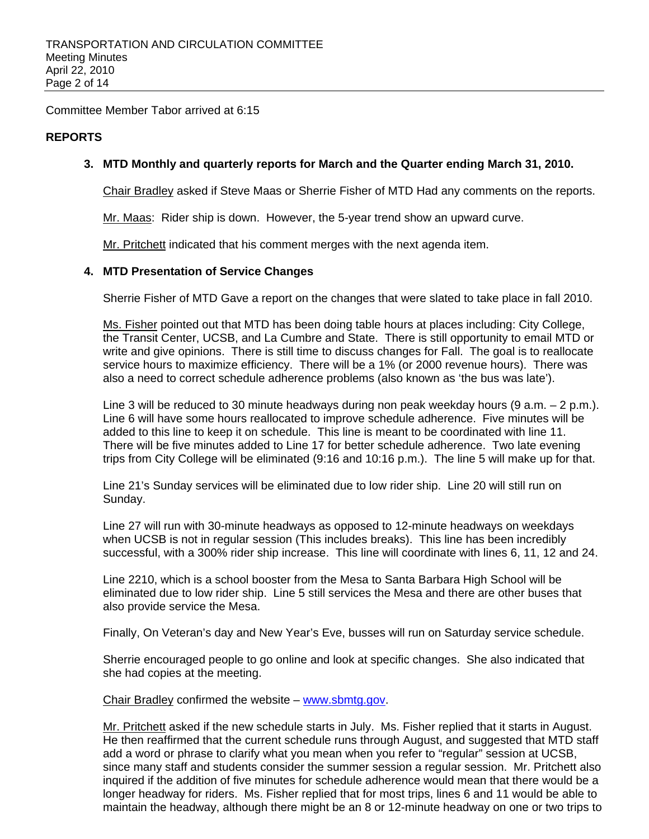Committee Member Tabor arrived at 6:15

### **REPORTS**

### **3. MTD Monthly and quarterly reports for March and the Quarter ending March 31, 2010.**

Chair Bradley asked if Steve Maas or Sherrie Fisher of MTD Had any comments on the reports.

Mr. Maas: Rider ship is down. However, the 5-year trend show an upward curve.

Mr. Pritchett indicated that his comment merges with the next agenda item.

#### **4. MTD Presentation of Service Changes**

Sherrie Fisher of MTD Gave a report on the changes that were slated to take place in fall 2010.

Ms. Fisher pointed out that MTD has been doing table hours at places including: City College, the Transit Center, UCSB, and La Cumbre and State. There is still opportunity to email MTD or write and give opinions. There is still time to discuss changes for Fall. The goal is to reallocate service hours to maximize efficiency. There will be a 1% (or 2000 revenue hours). There was also a need to correct schedule adherence problems (also known as 'the bus was late').

Line 3 will be reduced to 30 minute headways during non peak weekday hours (9 a.m. – 2 p.m.). Line 6 will have some hours reallocated to improve schedule adherence. Five minutes will be added to this line to keep it on schedule. This line is meant to be coordinated with line 11. There will be five minutes added to Line 17 for better schedule adherence. Two late evening trips from City College will be eliminated (9:16 and 10:16 p.m.). The line 5 will make up for that.

Line 21's Sunday services will be eliminated due to low rider ship. Line 20 will still run on Sunday.

Line 27 will run with 30-minute headways as opposed to 12-minute headways on weekdays when UCSB is not in regular session (This includes breaks). This line has been incredibly successful, with a 300% rider ship increase. This line will coordinate with lines 6, 11, 12 and 24.

Line 2210, which is a school booster from the Mesa to Santa Barbara High School will be eliminated due to low rider ship. Line 5 still services the Mesa and there are other buses that also provide service the Mesa.

Finally, On Veteran's day and New Year's Eve, busses will run on Saturday service schedule.

Sherrie encouraged people to go online and look at specific changes. She also indicated that she had copies at the meeting.

Chair Bradley confirmed the website – www.sbmtg.gov.

Mr. Pritchett asked if the new schedule starts in July. Ms. Fisher replied that it starts in August. He then reaffirmed that the current schedule runs through August, and suggested that MTD staff add a word or phrase to clarify what you mean when you refer to "regular" session at UCSB, since many staff and students consider the summer session a regular session. Mr. Pritchett also inquired if the addition of five minutes for schedule adherence would mean that there would be a longer headway for riders. Ms. Fisher replied that for most trips, lines 6 and 11 would be able to maintain the headway, although there might be an 8 or 12-minute headway on one or two trips to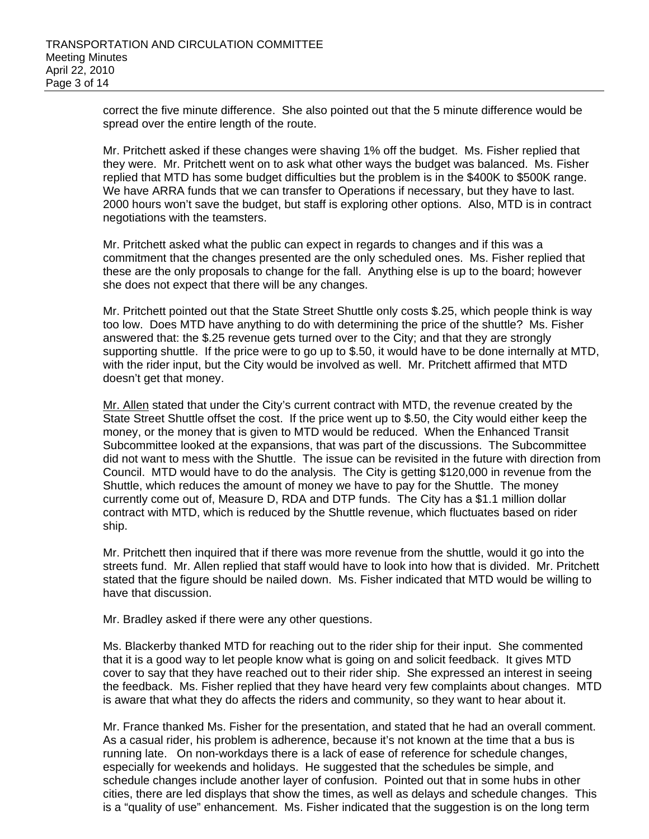correct the five minute difference. She also pointed out that the 5 minute difference would be spread over the entire length of the route.

Mr. Pritchett asked if these changes were shaving 1% off the budget. Ms. Fisher replied that they were. Mr. Pritchett went on to ask what other ways the budget was balanced. Ms. Fisher replied that MTD has some budget difficulties but the problem is in the \$400K to \$500K range. We have ARRA funds that we can transfer to Operations if necessary, but they have to last. 2000 hours won't save the budget, but staff is exploring other options. Also, MTD is in contract negotiations with the teamsters.

Mr. Pritchett asked what the public can expect in regards to changes and if this was a commitment that the changes presented are the only scheduled ones. Ms. Fisher replied that these are the only proposals to change for the fall. Anything else is up to the board; however she does not expect that there will be any changes.

Mr. Pritchett pointed out that the State Street Shuttle only costs \$.25, which people think is way too low. Does MTD have anything to do with determining the price of the shuttle? Ms. Fisher answered that: the \$.25 revenue gets turned over to the City; and that they are strongly supporting shuttle. If the price were to go up to \$.50, it would have to be done internally at MTD, with the rider input, but the City would be involved as well. Mr. Pritchett affirmed that MTD doesn't get that money.

Mr. Allen stated that under the City's current contract with MTD, the revenue created by the State Street Shuttle offset the cost. If the price went up to \$.50, the City would either keep the money, or the money that is given to MTD would be reduced. When the Enhanced Transit Subcommittee looked at the expansions, that was part of the discussions. The Subcommittee did not want to mess with the Shuttle. The issue can be revisited in the future with direction from Council. MTD would have to do the analysis. The City is getting \$120,000 in revenue from the Shuttle, which reduces the amount of money we have to pay for the Shuttle. The money currently come out of, Measure D, RDA and DTP funds. The City has a \$1.1 million dollar contract with MTD, which is reduced by the Shuttle revenue, which fluctuates based on rider ship.

Mr. Pritchett then inquired that if there was more revenue from the shuttle, would it go into the streets fund. Mr. Allen replied that staff would have to look into how that is divided. Mr. Pritchett stated that the figure should be nailed down. Ms. Fisher indicated that MTD would be willing to have that discussion.

Mr. Bradley asked if there were any other questions.

Ms. Blackerby thanked MTD for reaching out to the rider ship for their input. She commented that it is a good way to let people know what is going on and solicit feedback. It gives MTD cover to say that they have reached out to their rider ship. She expressed an interest in seeing the feedback. Ms. Fisher replied that they have heard very few complaints about changes. MTD is aware that what they do affects the riders and community, so they want to hear about it.

Mr. France thanked Ms. Fisher for the presentation, and stated that he had an overall comment. As a casual rider, his problem is adherence, because it's not known at the time that a bus is running late. On non-workdays there is a lack of ease of reference for schedule changes, especially for weekends and holidays. He suggested that the schedules be simple, and schedule changes include another layer of confusion. Pointed out that in some hubs in other cities, there are led displays that show the times, as well as delays and schedule changes. This is a "quality of use" enhancement. Ms. Fisher indicated that the suggestion is on the long term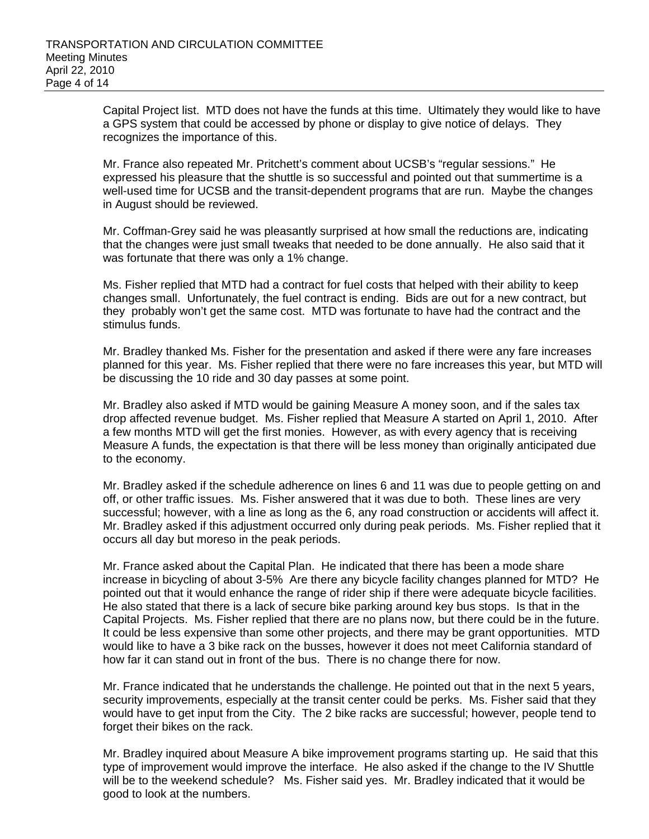Capital Project list. MTD does not have the funds at this time. Ultimately they would like to have a GPS system that could be accessed by phone or display to give notice of delays. They recognizes the importance of this.

Mr. France also repeated Mr. Pritchett's comment about UCSB's "regular sessions." He expressed his pleasure that the shuttle is so successful and pointed out that summertime is a well-used time for UCSB and the transit-dependent programs that are run. Maybe the changes in August should be reviewed.

Mr. Coffman-Grey said he was pleasantly surprised at how small the reductions are, indicating that the changes were just small tweaks that needed to be done annually. He also said that it was fortunate that there was only a 1% change.

Ms. Fisher replied that MTD had a contract for fuel costs that helped with their ability to keep changes small. Unfortunately, the fuel contract is ending. Bids are out for a new contract, but they probably won't get the same cost. MTD was fortunate to have had the contract and the stimulus funds.

 Mr. Bradley thanked Ms. Fisher for the presentation and asked if there were any fare increases planned for this year. Ms. Fisher replied that there were no fare increases this year, but MTD will be discussing the 10 ride and 30 day passes at some point.

 Mr. Bradley also asked if MTD would be gaining Measure A money soon, and if the sales tax drop affected revenue budget. Ms. Fisher replied that Measure A started on April 1, 2010. After a few months MTD will get the first monies. However, as with every agency that is receiving Measure A funds, the expectation is that there will be less money than originally anticipated due to the economy.

Mr. Bradley asked if the schedule adherence on lines 6 and 11 was due to people getting on and off, or other traffic issues. Ms. Fisher answered that it was due to both. These lines are very successful; however, with a line as long as the 6, any road construction or accidents will affect it. Mr. Bradley asked if this adjustment occurred only during peak periods. Ms. Fisher replied that it occurs all day but moreso in the peak periods.

Mr. France asked about the Capital Plan. He indicated that there has been a mode share increase in bicycling of about 3-5% Are there any bicycle facility changes planned for MTD? He pointed out that it would enhance the range of rider ship if there were adequate bicycle facilities. He also stated that there is a lack of secure bike parking around key bus stops. Is that in the Capital Projects. Ms. Fisher replied that there are no plans now, but there could be in the future. It could be less expensive than some other projects, and there may be grant opportunities. MTD would like to have a 3 bike rack on the busses, however it does not meet California standard of how far it can stand out in front of the bus. There is no change there for now.

Mr. France indicated that he understands the challenge. He pointed out that in the next 5 years, security improvements, especially at the transit center could be perks. Ms. Fisher said that they would have to get input from the City. The 2 bike racks are successful; however, people tend to forget their bikes on the rack.

Mr. Bradley inquired about Measure A bike improvement programs starting up. He said that this type of improvement would improve the interface. He also asked if the change to the IV Shuttle will be to the weekend schedule? Ms. Fisher said yes. Mr. Bradley indicated that it would be good to look at the numbers.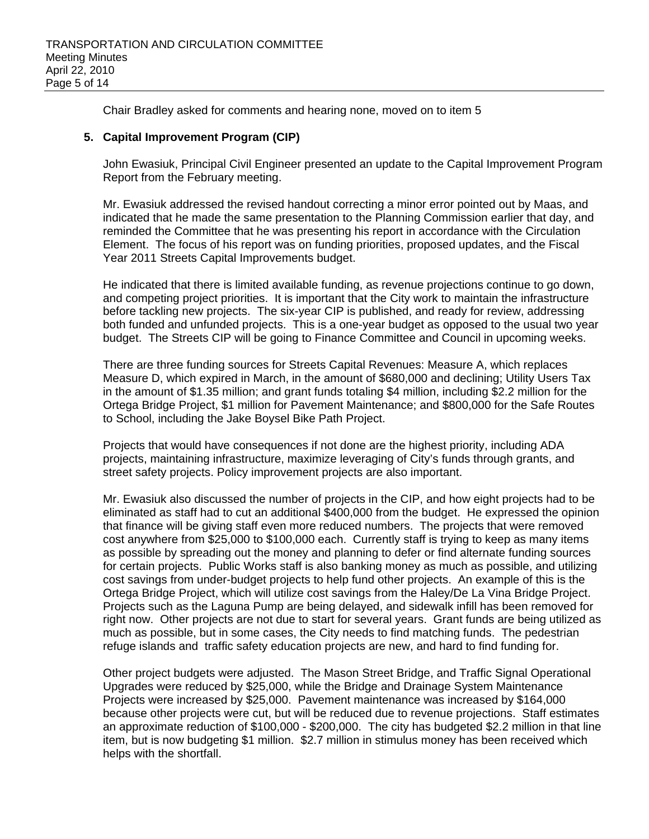Chair Bradley asked for comments and hearing none, moved on to item 5

### **5. Capital Improvement Program (CIP)**

John Ewasiuk, Principal Civil Engineer presented an update to the Capital Improvement Program Report from the February meeting.

Mr. Ewasiuk addressed the revised handout correcting a minor error pointed out by Maas, and indicated that he made the same presentation to the Planning Commission earlier that day, and reminded the Committee that he was presenting his report in accordance with the Circulation Element. The focus of his report was on funding priorities, proposed updates, and the Fiscal Year 2011 Streets Capital Improvements budget.

He indicated that there is limited available funding, as revenue projections continue to go down, and competing project priorities. It is important that the City work to maintain the infrastructure before tackling new projects. The six-year CIP is published, and ready for review, addressing both funded and unfunded projects. This is a one-year budget as opposed to the usual two year budget. The Streets CIP will be going to Finance Committee and Council in upcoming weeks.

There are three funding sources for Streets Capital Revenues: Measure A, which replaces Measure D, which expired in March, in the amount of \$680,000 and declining; Utility Users Tax in the amount of \$1.35 million; and grant funds totaling \$4 million, including \$2.2 million for the Ortega Bridge Project, \$1 million for Pavement Maintenance; and \$800,000 for the Safe Routes to School, including the Jake Boysel Bike Path Project.

Projects that would have consequences if not done are the highest priority, including ADA projects, maintaining infrastructure, maximize leveraging of City's funds through grants, and street safety projects. Policy improvement projects are also important.

Mr. Ewasiuk also discussed the number of projects in the CIP, and how eight projects had to be eliminated as staff had to cut an additional \$400,000 from the budget. He expressed the opinion that finance will be giving staff even more reduced numbers. The projects that were removed cost anywhere from \$25,000 to \$100,000 each. Currently staff is trying to keep as many items as possible by spreading out the money and planning to defer or find alternate funding sources for certain projects. Public Works staff is also banking money as much as possible, and utilizing cost savings from under-budget projects to help fund other projects. An example of this is the Ortega Bridge Project, which will utilize cost savings from the Haley/De La Vina Bridge Project. Projects such as the Laguna Pump are being delayed, and sidewalk infill has been removed for right now. Other projects are not due to start for several years. Grant funds are being utilized as much as possible, but in some cases, the City needs to find matching funds. The pedestrian refuge islands and traffic safety education projects are new, and hard to find funding for.

Other project budgets were adjusted. The Mason Street Bridge, and Traffic Signal Operational Upgrades were reduced by \$25,000, while the Bridge and Drainage System Maintenance Projects were increased by \$25,000. Pavement maintenance was increased by \$164,000 because other projects were cut, but will be reduced due to revenue projections. Staff estimates an approximate reduction of \$100,000 - \$200,000. The city has budgeted \$2.2 million in that line item, but is now budgeting \$1 million. \$2.7 million in stimulus money has been received which helps with the shortfall.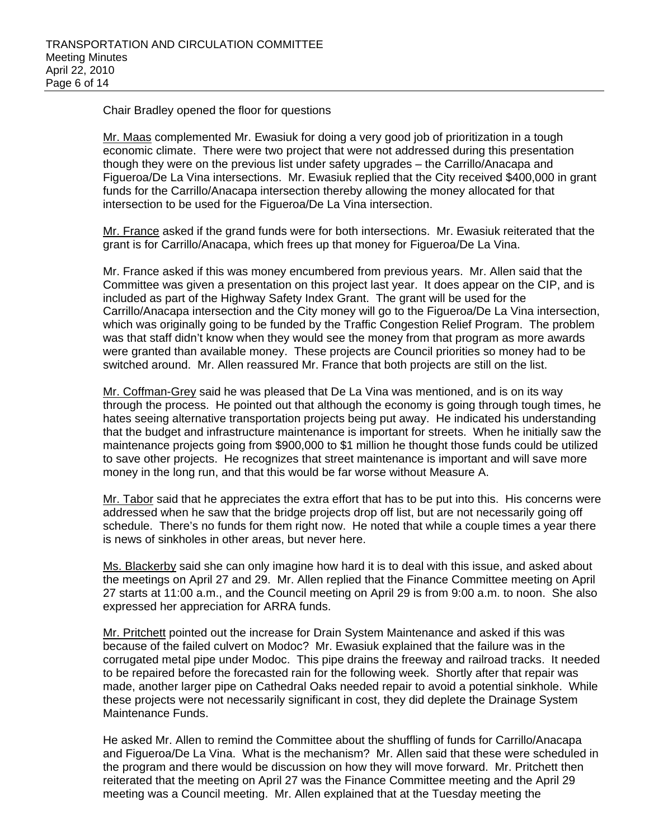Chair Bradley opened the floor for questions

Mr. Maas complemented Mr. Ewasiuk for doing a very good job of prioritization in a tough economic climate. There were two project that were not addressed during this presentation though they were on the previous list under safety upgrades – the Carrillo/Anacapa and Figueroa/De La Vina intersections. Mr. Ewasiuk replied that the City received \$400,000 in grant funds for the Carrillo/Anacapa intersection thereby allowing the money allocated for that intersection to be used for the Figueroa/De La Vina intersection.

Mr. France asked if the grand funds were for both intersections. Mr. Ewasiuk reiterated that the grant is for Carrillo/Anacapa, which frees up that money for Figueroa/De La Vina.

Mr. France asked if this was money encumbered from previous years. Mr. Allen said that the Committee was given a presentation on this project last year. It does appear on the CIP, and is included as part of the Highway Safety Index Grant. The grant will be used for the Carrillo/Anacapa intersection and the City money will go to the Figueroa/De La Vina intersection, which was originally going to be funded by the Traffic Congestion Relief Program. The problem was that staff didn't know when they would see the money from that program as more awards were granted than available money. These projects are Council priorities so money had to be switched around. Mr. Allen reassured Mr. France that both projects are still on the list.

Mr. Coffman-Grey said he was pleased that De La Vina was mentioned, and is on its way through the process. He pointed out that although the economy is going through tough times, he hates seeing alternative transportation projects being put away. He indicated his understanding that the budget and infrastructure maintenance is important for streets. When he initially saw the maintenance projects going from \$900,000 to \$1 million he thought those funds could be utilized to save other projects. He recognizes that street maintenance is important and will save more money in the long run, and that this would be far worse without Measure A.

Mr. Tabor said that he appreciates the extra effort that has to be put into this. His concerns were addressed when he saw that the bridge projects drop off list, but are not necessarily going off schedule. There's no funds for them right now. He noted that while a couple times a year there is news of sinkholes in other areas, but never here.

Ms. Blackerby said she can only imagine how hard it is to deal with this issue, and asked about the meetings on April 27 and 29. Mr. Allen replied that the Finance Committee meeting on April 27 starts at 11:00 a.m., and the Council meeting on April 29 is from 9:00 a.m. to noon. She also expressed her appreciation for ARRA funds.

Mr. Pritchett pointed out the increase for Drain System Maintenance and asked if this was because of the failed culvert on Modoc? Mr. Ewasiuk explained that the failure was in the corrugated metal pipe under Modoc. This pipe drains the freeway and railroad tracks. It needed to be repaired before the forecasted rain for the following week. Shortly after that repair was made, another larger pipe on Cathedral Oaks needed repair to avoid a potential sinkhole. While these projects were not necessarily significant in cost, they did deplete the Drainage System Maintenance Funds.

He asked Mr. Allen to remind the Committee about the shuffling of funds for Carrillo/Anacapa and Figueroa/De La Vina. What is the mechanism? Mr. Allen said that these were scheduled in the program and there would be discussion on how they will move forward. Mr. Pritchett then reiterated that the meeting on April 27 was the Finance Committee meeting and the April 29 meeting was a Council meeting. Mr. Allen explained that at the Tuesday meeting the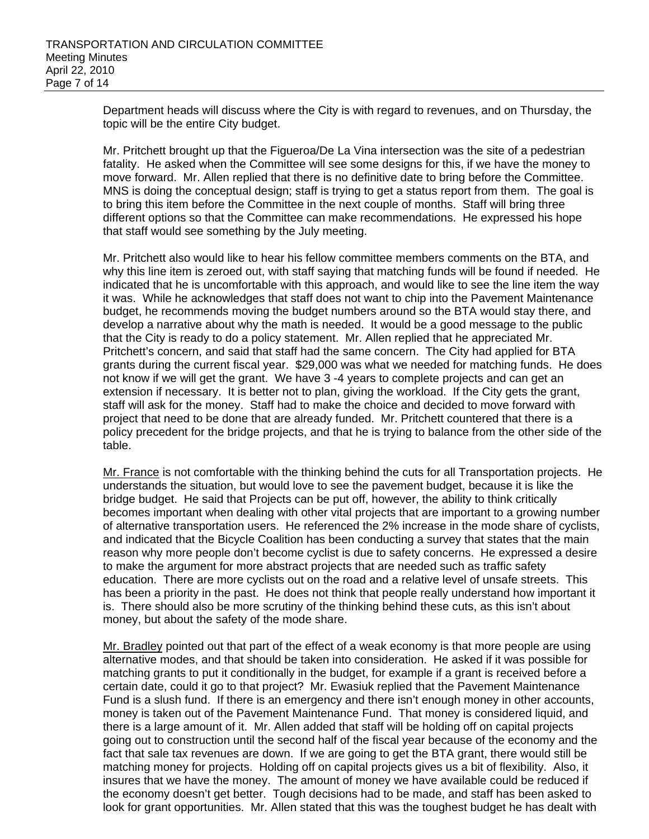Department heads will discuss where the City is with regard to revenues, and on Thursday, the topic will be the entire City budget.

Mr. Pritchett brought up that the Figueroa/De La Vina intersection was the site of a pedestrian fatality. He asked when the Committee will see some designs for this, if we have the money to move forward. Mr. Allen replied that there is no definitive date to bring before the Committee. MNS is doing the conceptual design; staff is trying to get a status report from them. The goal is to bring this item before the Committee in the next couple of months. Staff will bring three different options so that the Committee can make recommendations. He expressed his hope that staff would see something by the July meeting.

Mr. Pritchett also would like to hear his fellow committee members comments on the BTA, and why this line item is zeroed out, with staff saying that matching funds will be found if needed. He indicated that he is uncomfortable with this approach, and would like to see the line item the way it was. While he acknowledges that staff does not want to chip into the Pavement Maintenance budget, he recommends moving the budget numbers around so the BTA would stay there, and develop a narrative about why the math is needed. It would be a good message to the public that the City is ready to do a policy statement. Mr. Allen replied that he appreciated Mr. Pritchett's concern, and said that staff had the same concern. The City had applied for BTA grants during the current fiscal year. \$29,000 was what we needed for matching funds. He does not know if we will get the grant. We have 3 -4 years to complete projects and can get an extension if necessary. It is better not to plan, giving the workload. If the City gets the grant, staff will ask for the money. Staff had to make the choice and decided to move forward with project that need to be done that are already funded. Mr. Pritchett countered that there is a policy precedent for the bridge projects, and that he is trying to balance from the other side of the table.

Mr. France is not comfortable with the thinking behind the cuts for all Transportation projects. He understands the situation, but would love to see the pavement budget, because it is like the bridge budget. He said that Projects can be put off, however, the ability to think critically becomes important when dealing with other vital projects that are important to a growing number of alternative transportation users. He referenced the 2% increase in the mode share of cyclists, and indicated that the Bicycle Coalition has been conducting a survey that states that the main reason why more people don't become cyclist is due to safety concerns. He expressed a desire to make the argument for more abstract projects that are needed such as traffic safety education. There are more cyclists out on the road and a relative level of unsafe streets. This has been a priority in the past. He does not think that people really understand how important it is. There should also be more scrutiny of the thinking behind these cuts, as this isn't about money, but about the safety of the mode share.

Mr. Bradley pointed out that part of the effect of a weak economy is that more people are using alternative modes, and that should be taken into consideration. He asked if it was possible for matching grants to put it conditionally in the budget, for example if a grant is received before a certain date, could it go to that project? Mr. Ewasiuk replied that the Pavement Maintenance Fund is a slush fund. If there is an emergency and there isn't enough money in other accounts, money is taken out of the Pavement Maintenance Fund. That money is considered liquid, and there is a large amount of it. Mr. Allen added that staff will be holding off on capital projects going out to construction until the second half of the fiscal year because of the economy and the fact that sale tax revenues are down. If we are going to get the BTA grant, there would still be matching money for projects. Holding off on capital projects gives us a bit of flexibility. Also, it insures that we have the money. The amount of money we have available could be reduced if the economy doesn't get better. Tough decisions had to be made, and staff has been asked to look for grant opportunities. Mr. Allen stated that this was the toughest budget he has dealt with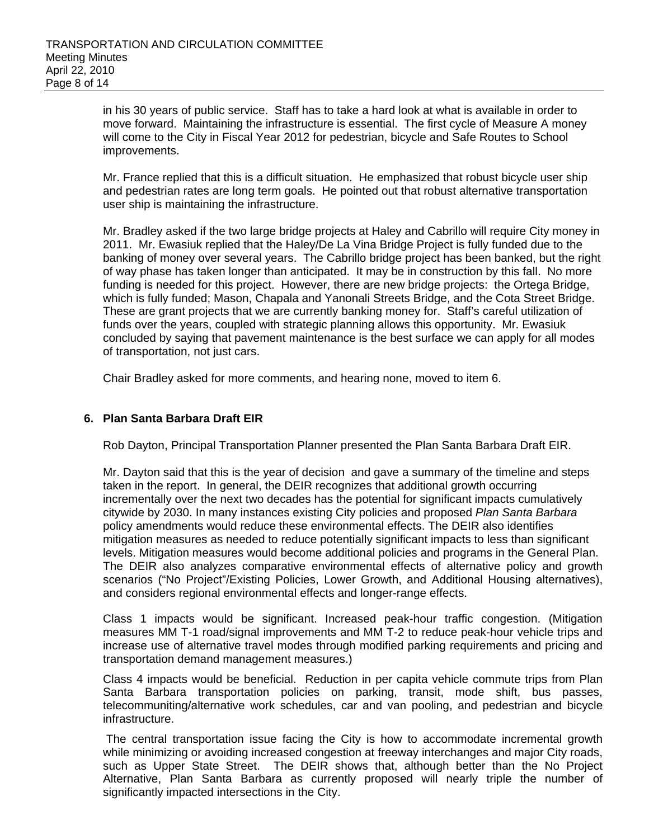in his 30 years of public service. Staff has to take a hard look at what is available in order to move forward. Maintaining the infrastructure is essential. The first cycle of Measure A money will come to the City in Fiscal Year 2012 for pedestrian, bicycle and Safe Routes to School improvements.

Mr. France replied that this is a difficult situation. He emphasized that robust bicycle user ship and pedestrian rates are long term goals. He pointed out that robust alternative transportation user ship is maintaining the infrastructure.

Mr. Bradley asked if the two large bridge projects at Haley and Cabrillo will require City money in 2011. Mr. Ewasiuk replied that the Haley/De La Vina Bridge Project is fully funded due to the banking of money over several years. The Cabrillo bridge project has been banked, but the right of way phase has taken longer than anticipated. It may be in construction by this fall. No more funding is needed for this project. However, there are new bridge projects: the Ortega Bridge, which is fully funded; Mason, Chapala and Yanonali Streets Bridge, and the Cota Street Bridge. These are grant projects that we are currently banking money for. Staff's careful utilization of funds over the years, coupled with strategic planning allows this opportunity. Mr. Ewasiuk concluded by saying that pavement maintenance is the best surface we can apply for all modes of transportation, not just cars.

Chair Bradley asked for more comments, and hearing none, moved to item 6.

## **6. Plan Santa Barbara Draft EIR**

Rob Dayton, Principal Transportation Planner presented the Plan Santa Barbara Draft EIR.

Mr. Dayton said that this is the year of decision and gave a summary of the timeline and steps taken in the report. In general, the DEIR recognizes that additional growth occurring incrementally over the next two decades has the potential for significant impacts cumulatively citywide by 2030. In many instances existing City policies and proposed *Plan Santa Barbara* policy amendments would reduce these environmental effects. The DEIR also identifies mitigation measures as needed to reduce potentially significant impacts to less than significant levels. Mitigation measures would become additional policies and programs in the General Plan. The DEIR also analyzes comparative environmental effects of alternative policy and growth scenarios ("No Project"/Existing Policies, Lower Growth, and Additional Housing alternatives), and considers regional environmental effects and longer-range effects.

Class 1 impacts would be significant. Increased peak-hour traffic congestion. (Mitigation measures MM T-1 road/signal improvements and MM T-2 to reduce peak-hour vehicle trips and increase use of alternative travel modes through modified parking requirements and pricing and transportation demand management measures.)

Class 4 impacts would be beneficial. Reduction in per capita vehicle commute trips from Plan Santa Barbara transportation policies on parking, transit, mode shift, bus passes, telecommuniting/alternative work schedules, car and van pooling, and pedestrian and bicycle infrastructure.

The central transportation issue facing the City is how to accommodate incremental growth while minimizing or avoiding increased congestion at freeway interchanges and major City roads, such as Upper State Street. The DEIR shows that, although better than the No Project Alternative, Plan Santa Barbara as currently proposed will nearly triple the number of significantly impacted intersections in the City.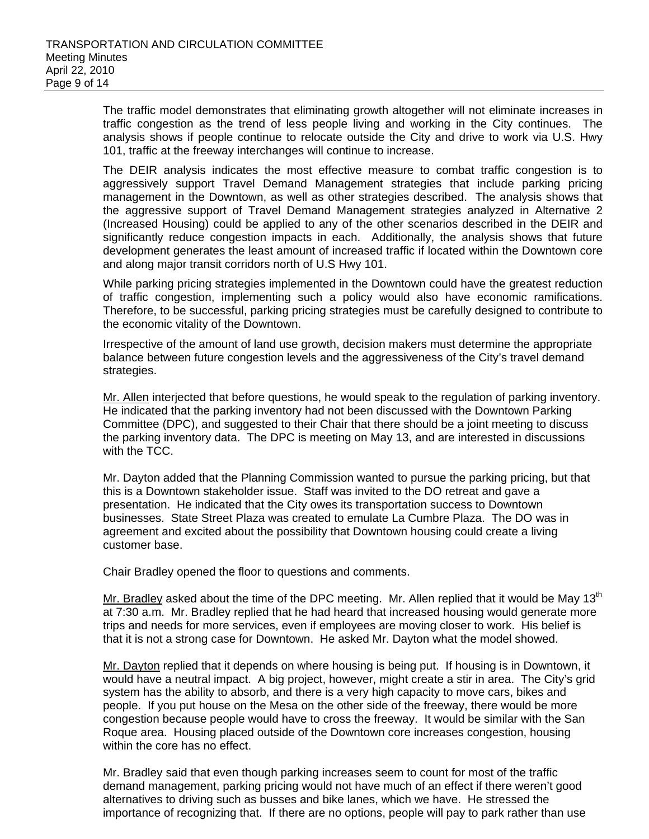The traffic model demonstrates that eliminating growth altogether will not eliminate increases in traffic congestion as the trend of less people living and working in the City continues. The analysis shows if people continue to relocate outside the City and drive to work via U.S. Hwy 101, traffic at the freeway interchanges will continue to increase.

The DEIR analysis indicates the most effective measure to combat traffic congestion is to aggressively support Travel Demand Management strategies that include parking pricing management in the Downtown, as well as other strategies described. The analysis shows that the aggressive support of Travel Demand Management strategies analyzed in Alternative 2 (Increased Housing) could be applied to any of the other scenarios described in the DEIR and significantly reduce congestion impacts in each. Additionally, the analysis shows that future development generates the least amount of increased traffic if located within the Downtown core and along major transit corridors north of U.S Hwy 101.

While parking pricing strategies implemented in the Downtown could have the greatest reduction of traffic congestion, implementing such a policy would also have economic ramifications. Therefore, to be successful, parking pricing strategies must be carefully designed to contribute to the economic vitality of the Downtown.

Irrespective of the amount of land use growth, decision makers must determine the appropriate balance between future congestion levels and the aggressiveness of the City's travel demand strategies.

Mr. Allen interjected that before questions, he would speak to the regulation of parking inventory. He indicated that the parking inventory had not been discussed with the Downtown Parking Committee (DPC), and suggested to their Chair that there should be a joint meeting to discuss the parking inventory data. The DPC is meeting on May 13, and are interested in discussions with the TCC.

Mr. Dayton added that the Planning Commission wanted to pursue the parking pricing, but that this is a Downtown stakeholder issue. Staff was invited to the DO retreat and gave a presentation. He indicated that the City owes its transportation success to Downtown businesses. State Street Plaza was created to emulate La Cumbre Plaza. The DO was in agreement and excited about the possibility that Downtown housing could create a living customer base.

Chair Bradley opened the floor to questions and comments.

Mr. Bradley asked about the time of the DPC meeting. Mr. Allen replied that it would be May 13<sup>th</sup> at 7:30 a.m. Mr. Bradley replied that he had heard that increased housing would generate more trips and needs for more services, even if employees are moving closer to work. His belief is that it is not a strong case for Downtown. He asked Mr. Dayton what the model showed.

Mr. Dayton replied that it depends on where housing is being put. If housing is in Downtown, it would have a neutral impact. A big project, however, might create a stir in area. The City's grid system has the ability to absorb, and there is a very high capacity to move cars, bikes and people. If you put house on the Mesa on the other side of the freeway, there would be more congestion because people would have to cross the freeway. It would be similar with the San Roque area. Housing placed outside of the Downtown core increases congestion, housing within the core has no effect.

Mr. Bradley said that even though parking increases seem to count for most of the traffic demand management, parking pricing would not have much of an effect if there weren't good alternatives to driving such as busses and bike lanes, which we have. He stressed the importance of recognizing that. If there are no options, people will pay to park rather than use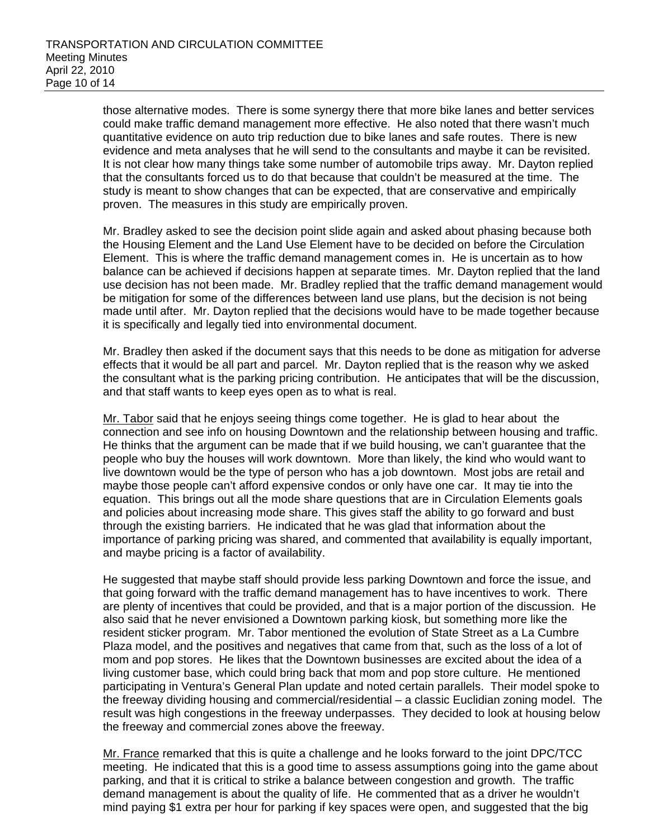those alternative modes. There is some synergy there that more bike lanes and better services could make traffic demand management more effective. He also noted that there wasn't much quantitative evidence on auto trip reduction due to bike lanes and safe routes. There is new evidence and meta analyses that he will send to the consultants and maybe it can be revisited. It is not clear how many things take some number of automobile trips away. Mr. Dayton replied that the consultants forced us to do that because that couldn't be measured at the time. The study is meant to show changes that can be expected, that are conservative and empirically proven. The measures in this study are empirically proven.

Mr. Bradley asked to see the decision point slide again and asked about phasing because both the Housing Element and the Land Use Element have to be decided on before the Circulation Element. This is where the traffic demand management comes in. He is uncertain as to how balance can be achieved if decisions happen at separate times. Mr. Dayton replied that the land use decision has not been made. Mr. Bradley replied that the traffic demand management would be mitigation for some of the differences between land use plans, but the decision is not being made until after. Mr. Dayton replied that the decisions would have to be made together because it is specifically and legally tied into environmental document.

Mr. Bradley then asked if the document says that this needs to be done as mitigation for adverse effects that it would be all part and parcel. Mr. Dayton replied that is the reason why we asked the consultant what is the parking pricing contribution. He anticipates that will be the discussion, and that staff wants to keep eyes open as to what is real.

Mr. Tabor said that he enjoys seeing things come together. He is glad to hear about the connection and see info on housing Downtown and the relationship between housing and traffic. He thinks that the argument can be made that if we build housing, we can't guarantee that the people who buy the houses will work downtown. More than likely, the kind who would want to live downtown would be the type of person who has a job downtown. Most jobs are retail and maybe those people can't afford expensive condos or only have one car. It may tie into the equation. This brings out all the mode share questions that are in Circulation Elements goals and policies about increasing mode share. This gives staff the ability to go forward and bust through the existing barriers. He indicated that he was glad that information about the importance of parking pricing was shared, and commented that availability is equally important, and maybe pricing is a factor of availability.

He suggested that maybe staff should provide less parking Downtown and force the issue, and that going forward with the traffic demand management has to have incentives to work. There are plenty of incentives that could be provided, and that is a major portion of the discussion. He also said that he never envisioned a Downtown parking kiosk, but something more like the resident sticker program. Mr. Tabor mentioned the evolution of State Street as a La Cumbre Plaza model, and the positives and negatives that came from that, such as the loss of a lot of mom and pop stores. He likes that the Downtown businesses are excited about the idea of a living customer base, which could bring back that mom and pop store culture. He mentioned participating in Ventura's General Plan update and noted certain parallels. Their model spoke to the freeway dividing housing and commercial/residential – a classic Euclidian zoning model. The result was high congestions in the freeway underpasses. They decided to look at housing below the freeway and commercial zones above the freeway.

Mr. France remarked that this is quite a challenge and he looks forward to the joint DPC/TCC meeting. He indicated that this is a good time to assess assumptions going into the game about parking, and that it is critical to strike a balance between congestion and growth. The traffic demand management is about the quality of life. He commented that as a driver he wouldn't mind paying \$1 extra per hour for parking if key spaces were open, and suggested that the big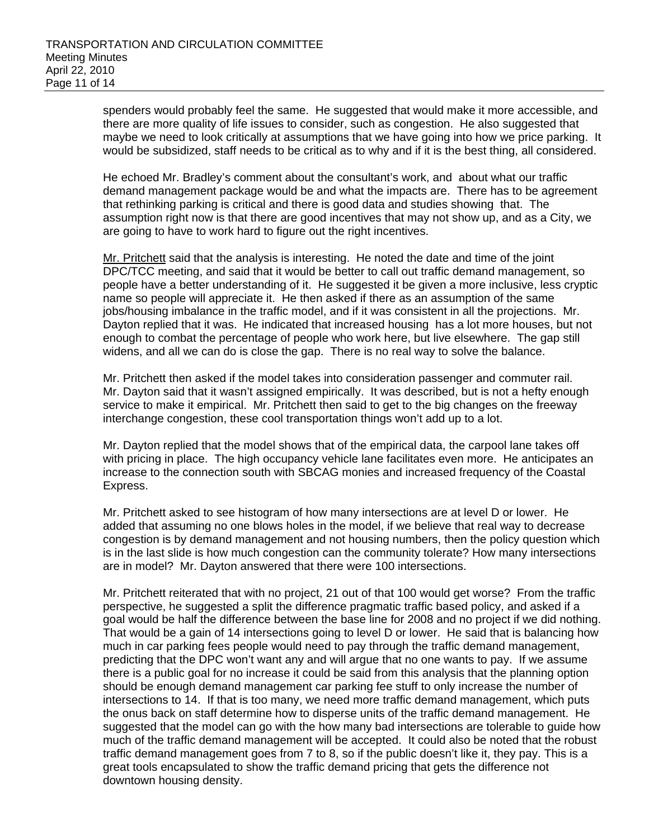spenders would probably feel the same. He suggested that would make it more accessible, and there are more quality of life issues to consider, such as congestion. He also suggested that maybe we need to look critically at assumptions that we have going into how we price parking. It would be subsidized, staff needs to be critical as to why and if it is the best thing, all considered.

He echoed Mr. Bradley's comment about the consultant's work, and about what our traffic demand management package would be and what the impacts are. There has to be agreement that rethinking parking is critical and there is good data and studies showing that. The assumption right now is that there are good incentives that may not show up, and as a City, we are going to have to work hard to figure out the right incentives.

Mr. Pritchett said that the analysis is interesting. He noted the date and time of the joint DPC/TCC meeting, and said that it would be better to call out traffic demand management, so people have a better understanding of it. He suggested it be given a more inclusive, less cryptic name so people will appreciate it. He then asked if there as an assumption of the same jobs/housing imbalance in the traffic model, and if it was consistent in all the projections. Mr. Dayton replied that it was. He indicated that increased housing has a lot more houses, but not enough to combat the percentage of people who work here, but live elsewhere. The gap still widens, and all we can do is close the gap. There is no real way to solve the balance.

Mr. Pritchett then asked if the model takes into consideration passenger and commuter rail. Mr. Dayton said that it wasn't assigned empirically. It was described, but is not a hefty enough service to make it empirical. Mr. Pritchett then said to get to the big changes on the freeway interchange congestion, these cool transportation things won't add up to a lot.

Mr. Dayton replied that the model shows that of the empirical data, the carpool lane takes off with pricing in place. The high occupancy vehicle lane facilitates even more. He anticipates an increase to the connection south with SBCAG monies and increased frequency of the Coastal Express.

Mr. Pritchett asked to see histogram of how many intersections are at level D or lower. He added that assuming no one blows holes in the model, if we believe that real way to decrease congestion is by demand management and not housing numbers, then the policy question which is in the last slide is how much congestion can the community tolerate? How many intersections are in model? Mr. Dayton answered that there were 100 intersections.

Mr. Pritchett reiterated that with no project, 21 out of that 100 would get worse? From the traffic perspective, he suggested a split the difference pragmatic traffic based policy, and asked if a goal would be half the difference between the base line for 2008 and no project if we did nothing. That would be a gain of 14 intersections going to level D or lower. He said that is balancing how much in car parking fees people would need to pay through the traffic demand management, predicting that the DPC won't want any and will argue that no one wants to pay. If we assume there is a public goal for no increase it could be said from this analysis that the planning option should be enough demand management car parking fee stuff to only increase the number of intersections to 14. If that is too many, we need more traffic demand management, which puts the onus back on staff determine how to disperse units of the traffic demand management. He suggested that the model can go with the how many bad intersections are tolerable to guide how much of the traffic demand management will be accepted. It could also be noted that the robust traffic demand management goes from 7 to 8, so if the public doesn't like it, they pay. This is a great tools encapsulated to show the traffic demand pricing that gets the difference not downtown housing density.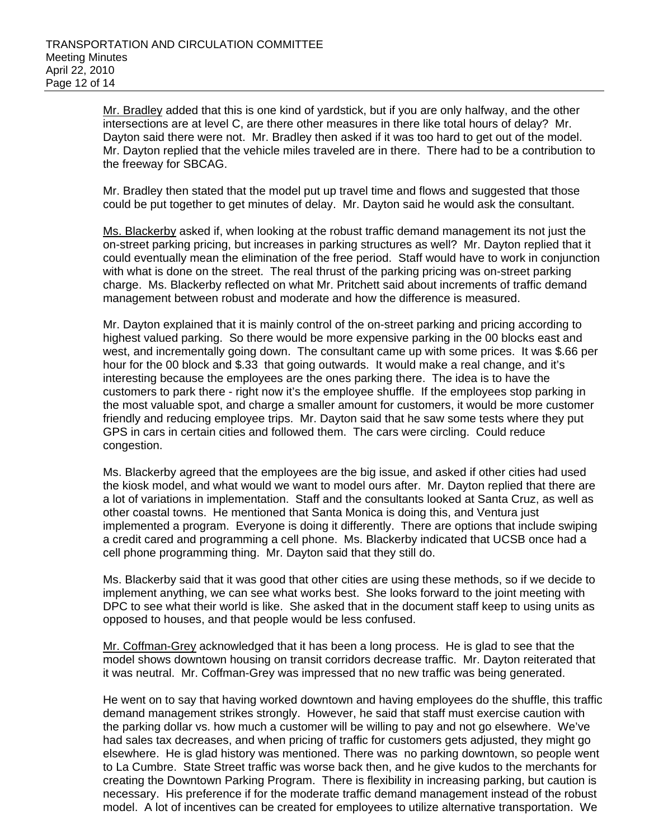Mr. Bradley added that this is one kind of yardstick, but if you are only halfway, and the other intersections are at level C, are there other measures in there like total hours of delay? Mr. Dayton said there were not. Mr. Bradley then asked if it was too hard to get out of the model. Mr. Dayton replied that the vehicle miles traveled are in there. There had to be a contribution to the freeway for SBCAG.

Mr. Bradley then stated that the model put up travel time and flows and suggested that those could be put together to get minutes of delay. Mr. Dayton said he would ask the consultant.

Ms. Blackerby asked if, when looking at the robust traffic demand management its not just the on-street parking pricing, but increases in parking structures as well? Mr. Dayton replied that it could eventually mean the elimination of the free period. Staff would have to work in conjunction with what is done on the street. The real thrust of the parking pricing was on-street parking charge. Ms. Blackerby reflected on what Mr. Pritchett said about increments of traffic demand management between robust and moderate and how the difference is measured.

Mr. Dayton explained that it is mainly control of the on-street parking and pricing according to highest valued parking. So there would be more expensive parking in the 00 blocks east and west, and incrementally going down. The consultant came up with some prices. It was \$.66 per hour for the 00 block and \$.33 that going outwards. It would make a real change, and it's interesting because the employees are the ones parking there. The idea is to have the customers to park there - right now it's the employee shuffle. If the employees stop parking in the most valuable spot, and charge a smaller amount for customers, it would be more customer friendly and reducing employee trips. Mr. Dayton said that he saw some tests where they put GPS in cars in certain cities and followed them. The cars were circling. Could reduce congestion.

Ms. Blackerby agreed that the employees are the big issue, and asked if other cities had used the kiosk model, and what would we want to model ours after. Mr. Dayton replied that there are a lot of variations in implementation. Staff and the consultants looked at Santa Cruz, as well as other coastal towns. He mentioned that Santa Monica is doing this, and Ventura just implemented a program. Everyone is doing it differently. There are options that include swiping a credit cared and programming a cell phone. Ms. Blackerby indicated that UCSB once had a cell phone programming thing. Mr. Dayton said that they still do.

Ms. Blackerby said that it was good that other cities are using these methods, so if we decide to implement anything, we can see what works best. She looks forward to the joint meeting with DPC to see what their world is like. She asked that in the document staff keep to using units as opposed to houses, and that people would be less confused.

Mr. Coffman-Grey acknowledged that it has been a long process. He is glad to see that the model shows downtown housing on transit corridors decrease traffic. Mr. Dayton reiterated that it was neutral. Mr. Coffman-Grey was impressed that no new traffic was being generated.

He went on to say that having worked downtown and having employees do the shuffle, this traffic demand management strikes strongly. However, he said that staff must exercise caution with the parking dollar vs. how much a customer will be willing to pay and not go elsewhere. We've had sales tax decreases, and when pricing of traffic for customers gets adjusted, they might go elsewhere. He is glad history was mentioned. There was no parking downtown, so people went to La Cumbre. State Street traffic was worse back then, and he give kudos to the merchants for creating the Downtown Parking Program. There is flexibility in increasing parking, but caution is necessary. His preference if for the moderate traffic demand management instead of the robust model. A lot of incentives can be created for employees to utilize alternative transportation. We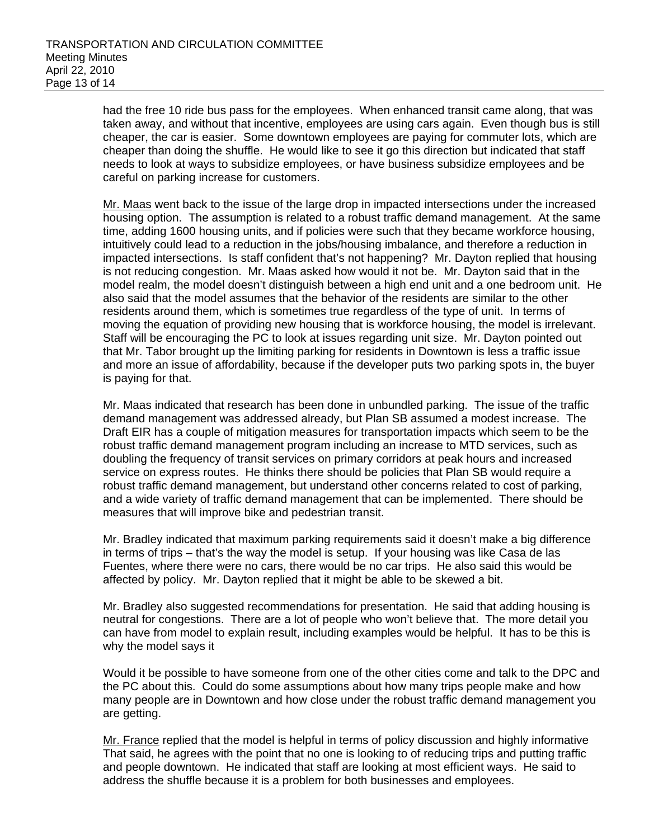had the free 10 ride bus pass for the employees. When enhanced transit came along, that was taken away, and without that incentive, employees are using cars again. Even though bus is still cheaper, the car is easier. Some downtown employees are paying for commuter lots, which are cheaper than doing the shuffle. He would like to see it go this direction but indicated that staff needs to look at ways to subsidize employees, or have business subsidize employees and be careful on parking increase for customers.

Mr. Maas went back to the issue of the large drop in impacted intersections under the increased housing option. The assumption is related to a robust traffic demand management. At the same time, adding 1600 housing units, and if policies were such that they became workforce housing, intuitively could lead to a reduction in the jobs/housing imbalance, and therefore a reduction in impacted intersections. Is staff confident that's not happening? Mr. Dayton replied that housing is not reducing congestion. Mr. Maas asked how would it not be. Mr. Dayton said that in the model realm, the model doesn't distinguish between a high end unit and a one bedroom unit. He also said that the model assumes that the behavior of the residents are similar to the other residents around them, which is sometimes true regardless of the type of unit. In terms of moving the equation of providing new housing that is workforce housing, the model is irrelevant. Staff will be encouraging the PC to look at issues regarding unit size. Mr. Dayton pointed out that Mr. Tabor brought up the limiting parking for residents in Downtown is less a traffic issue and more an issue of affordability, because if the developer puts two parking spots in, the buyer is paying for that.

Mr. Maas indicated that research has been done in unbundled parking. The issue of the traffic demand management was addressed already, but Plan SB assumed a modest increase. The Draft EIR has a couple of mitigation measures for transportation impacts which seem to be the robust traffic demand management program including an increase to MTD services, such as doubling the frequency of transit services on primary corridors at peak hours and increased service on express routes. He thinks there should be policies that Plan SB would require a robust traffic demand management, but understand other concerns related to cost of parking, and a wide variety of traffic demand management that can be implemented. There should be measures that will improve bike and pedestrian transit.

Mr. Bradley indicated that maximum parking requirements said it doesn't make a big difference in terms of trips – that's the way the model is setup. If your housing was like Casa de las Fuentes, where there were no cars, there would be no car trips. He also said this would be affected by policy. Mr. Dayton replied that it might be able to be skewed a bit.

Mr. Bradley also suggested recommendations for presentation. He said that adding housing is neutral for congestions. There are a lot of people who won't believe that. The more detail you can have from model to explain result, including examples would be helpful. It has to be this is why the model says it

Would it be possible to have someone from one of the other cities come and talk to the DPC and the PC about this. Could do some assumptions about how many trips people make and how many people are in Downtown and how close under the robust traffic demand management you are getting.

Mr. France replied that the model is helpful in terms of policy discussion and highly informative That said, he agrees with the point that no one is looking to of reducing trips and putting traffic and people downtown. He indicated that staff are looking at most efficient ways. He said to address the shuffle because it is a problem for both businesses and employees.